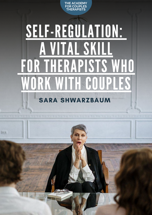

# [SELF-REGULATION:](https://www.couples-counseling-now.com/) [A VITAL](https://www.couples-counseling-now.com/) SKILL [F](https://www.couples-counseling-now.com/)OR [THERAPISTS](https://www.couples-counseling-now.com/) WHO URK WITH GOUPL SARA SHWARZBAUM

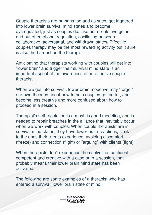Couple therapists are humans too and as such, get triggered into lower brain survival mind states and become dysregulated, just as couples do. Like our clients, we get in and out of emotional regulation, oscillating between collaborative, adversarial, and withdrawn states. Effective couples therapy may be the most rewarding activity but it sure is also the hardest on the therapist.

Anticipating that therapists working with couples will get into "lower brain" and trigger their survival mind state is an important aspect of the awareness of an effective couple therapist.

When we get into survival, lower brain mode we may "forget" our own theories about how to help couples get better, and become less creative and more confused about how to proceed in a session.

Therapist's self-regulation is a must, is good modeling, and is needed to repair breaches in the alliance that inevitably occur when we work with couples. When couple therapists are in survival mind states, they have lower brain reactions, similar to the ones their clients experience, avoiding discomfort (freeze) and connection (flight) or "arguing" with clients (fight).

When therapists don't experience themselves as confident, competent and creative with a case or in a session, that probably means their lower brain mind state has been activated.

The following are some examples of a therapist who has entered a survival, lower brain state of mind.

> **THE ACADEMY FOR COUPLES THERAPISTS**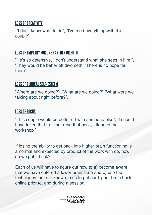## **LOSS OF CREATIVITY**

"I don't know what to do", "I've tried everything with this couple".

## LOSS OF EMPATHY FOR ONE PARTNER OR BOTH

"He's so defensive, I don't understand what she sees in him!", "They would be better off divorced", "There is no hope for them".

## LOSS OF CLINICAL SELF-ESTEEM



"Where are we going?", "What are we doing?" "What were we talking about right before?".

"This couple would be better off with someone else", "I should have taken that training, read that book, attended that workshop."

If losing the ability to get back into higher brain functioning is a normal and expected by product of the work with do, how do we get it back?

Each of us will have to figure out how to a) become aware that we have entered a lower brain state and b) use the techniques that are known to us to put our higher brain back online prior to, and during a session.

> **THE ACADEMY FOR COUPLES THERAPISTS**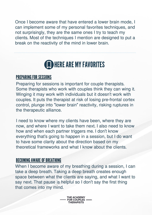**THE ACADEMY FOR COUPLES THERAPISTS**

Once I become aware that have entered a lower brain mode, I can implement some of my personal favorites techniques, and not surprisingly, they are the same ones I try to teach my clients. Most of the techniques I mention are designed to put a break on the reactivity of the mind in lower brain.

## **CODHERE ARE MY FAVORITES**

## **PREPARING FOR SESSIONS**

Preparing for sessions is important for couple therapists. Some therapists who work with couples think they can wing it. Winging it may work with individuals but it doesn't work with couples. It puts the therapist at risk of losing pre-frontal cortex control, plunge into "lower brain" reactivity, risking ruptures in the therapeutic alliance.

When I become aware of my breathing during a session, I can take a deep breath. Taking a deep breath creates enough space between what the clients are saying, and what I want to say next. That pause is helpful so I don't say the first thing that comes into my mind.

I need to know where my clients have been, where they are now, and where I want to take them next. I also need to know how and when each partner triggers me. I don't know everything that's going to happen in a session, but I do want to have some clarity about the direction based on my theoretical frameworks and what I know about the clients.

## **BECOMING AWARE OF BREATHING**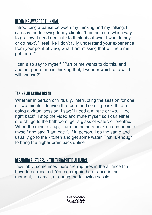

## BECOMING AWARE OF THINKING

Introducing a pause between my thinking and my talking. I can say the following to my clients: "I am not sure which way to go now, I need a minute to think about what I want to say or do next". "I feel like I don't fully understand your experience from your point of view, what I am missing that will help me get there?"

I can also say to myself: "Part of me wants to do this, and another part of me is thinking that, I wonder which one will I will choose?"

## **TAKING AN ACTUAL BREAK**

Whether in person or virtually, interrupting the session for one or two minutes, leaving the room and coming back. If I am doing a virtual session, I say: "I need a minute or two, I'll be right back". I stop the video and mute myself so I can either stretch, go to the bathroom, get a glass of water, or breathe. When the minute is up, I turn the camera back on and unmute myself and say: "I am back". If in person, I do the same and usually go to the kitchen and get some water. That is enough to bring the higher brain back online.

## REPAIRING RUPTURES IN THE THERAPEUTIC ALLIANCE

Inevitably, sometimes there are ruptures in the alliance that have to be repaired. You can repair the alliance in the moment, via email, or during the following session.